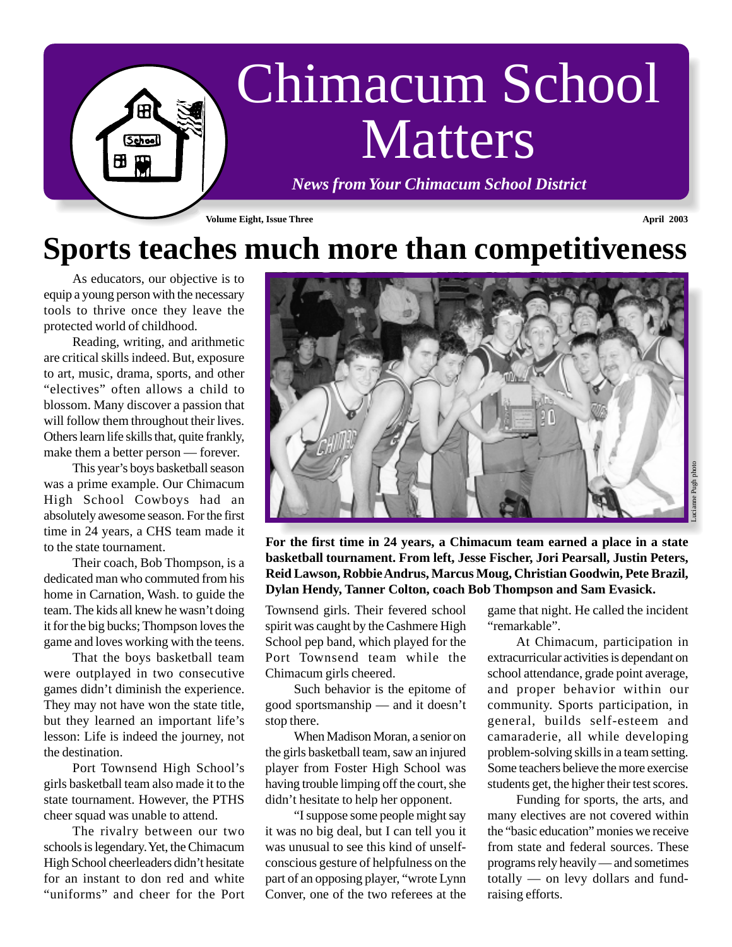

## **Sports teaches much more than competitiveness**

As educators, our objective is to equip a young person with the necessary tools to thrive once they leave the protected world of childhood.

Reading, writing, and arithmetic are critical skills indeed. But, exposure to art, music, drama, sports, and other "electives" often allows a child to blossom. Many discover a passion that will follow them throughout their lives. Others learn life skills that, quite frankly, make them a better person — forever.

This year's boys basketball season was a prime example. Our Chimacum High School Cowboys had an absolutely awesome season. For the first time in 24 years, a CHS team made it to the state tournament.

Their coach, Bob Thompson, is a dedicated man who commuted from his home in Carnation, Wash. to guide the team. The kids all knew he wasn't doing it for the big bucks; Thompson loves the game and loves working with the teens.

That the boys basketball team were outplayed in two consecutive games didn't diminish the experience. They may not have won the state title, but they learned an important life's lesson: Life is indeed the journey, not the destination.

Port Townsend High School's girls basketball team also made it to the state tournament. However, the PTHS cheer squad was unable to attend.

The rivalry between our two schools is legendary. Yet, the Chimacum High School cheerleaders didn't hesitate for an instant to don red and white "uniforms" and cheer for the Port



**For the first time in 24 years, a Chimacum team earned a place in a state basketball tournament. From left, Jesse Fischer, Jori Pearsall, Justin Peters, Reid Lawson, Robbie Andrus, Marcus Moug, Christian Goodwin, Pete Brazil, Dylan Hendy, Tanner Colton, coach Bob Thompson and Sam Evasick.**

Townsend girls. Their fevered school spirit was caught by the Cashmere High School pep band, which played for the Port Townsend team while the Chimacum girls cheered.

Such behavior is the epitome of good sportsmanship — and it doesn't stop there.

When Madison Moran, a senior on the girls basketball team, saw an injured player from Foster High School was having trouble limping off the court, she didn't hesitate to help her opponent.

"I suppose some people might say it was no big deal, but I can tell you it was unusual to see this kind of unselfconscious gesture of helpfulness on the part of an opposing player, "wrote Lynn Conver, one of the two referees at the game that night. He called the incident "remarkable".

At Chimacum, participation in extracurricular activities is dependant on school attendance, grade point average, and proper behavior within our community. Sports participation, in general, builds self-esteem and camaraderie, all while developing problem-solving skills in a team setting. Some teachers believe the more exercise students get, the higher their test scores.

Funding for sports, the arts, and many electives are not covered within the "basic education" monies we receive from state and federal sources. These programs rely heavily — and sometimes totally — on levy dollars and fundraising efforts.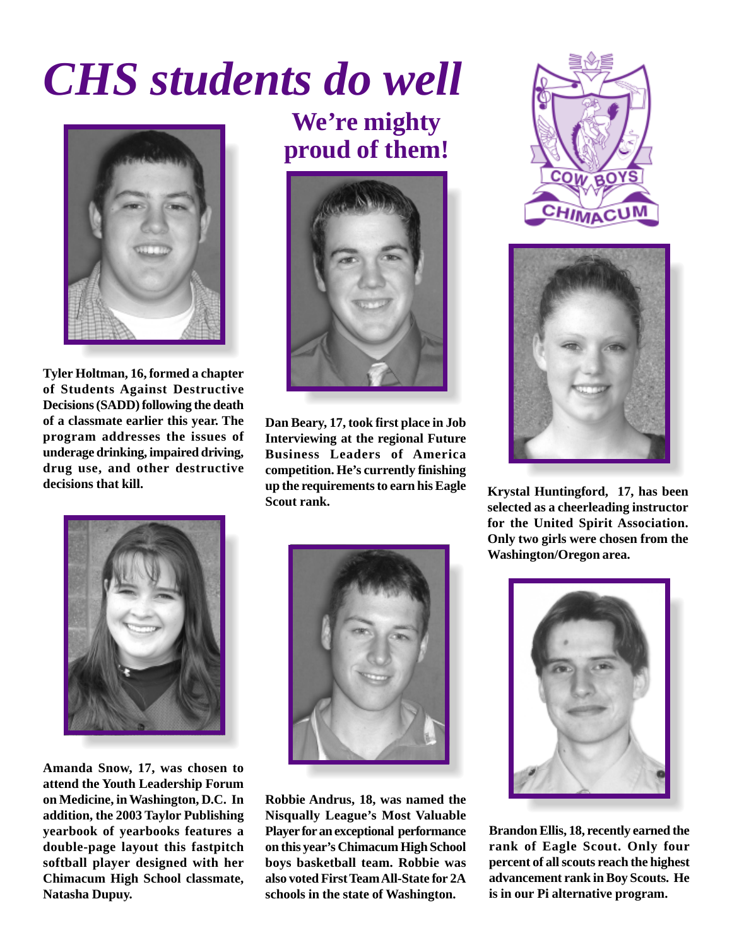# *CHS students do well*



**Tyler Holtman, 16, formed a chapter of Students Against Destructive Decisions (SADD) following the death of a classmate earlier this year. The program addresses the issues of underage drinking, impaired driving, drug use, and other destructive decisions that kill.**

**We're mighty proud of them!**



**Dan Beary, 17, took first place in Job Interviewing at the regional Future Business Leaders of America competition. He's currently finishing up the requirements to earn his Eagle Scout rank. Krystal Huntingford, 17, has been**



**selected as a cheerleading instructor for the United Spirit Association. Only two girls were chosen from the Washington/Oregon area.**



**Amanda Snow, 17, was chosen to attend the Youth Leadership Forum on Medicine, in Washington, D.C. In addition, the 2003 Taylor Publishing yearbook of yearbooks features a double-page layout this fastpitch softball player designed with her Chimacum High School classmate, Natasha Dupuy.**



**Robbie Andrus, 18, was named the Nisqually League's Most Valuable Player for an exceptional performance on this year's Chimacum High School boys basketball team. Robbie was also voted First Team All-State for 2A schools in the state of Washington.**



**Brandon Ellis, 18, recently earned the rank of Eagle Scout. Only four percent of all scouts reach the highest advancement rank in Boy Scouts. He is in our Pi alternative program.**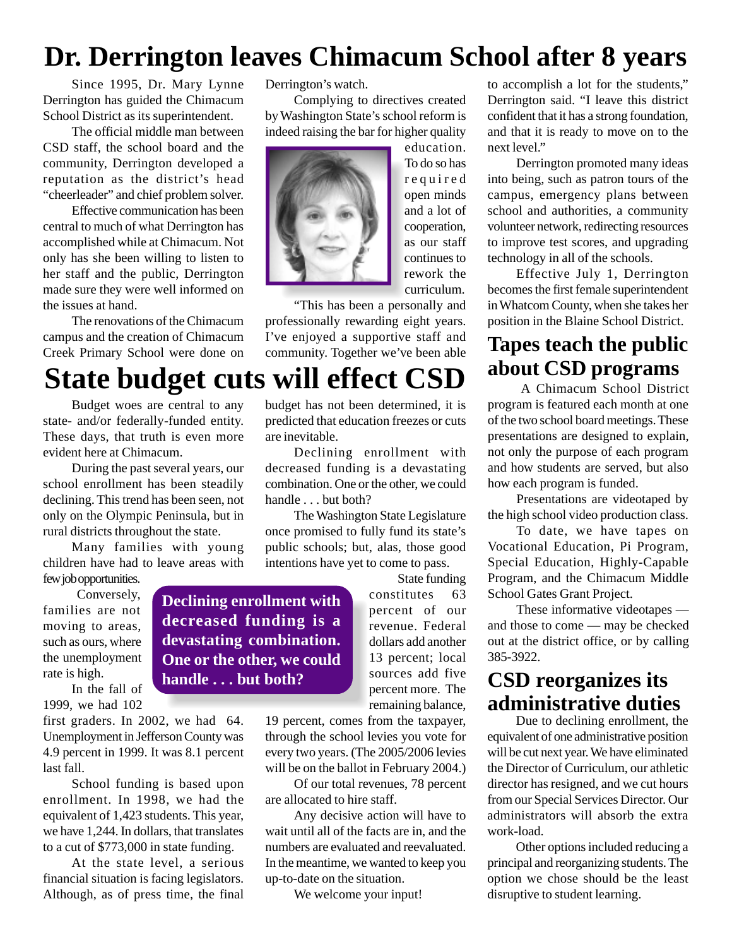### **Dr. Derrington leaves Chimacum School after 8 years**

Since 1995, Dr. Mary Lynne Derrington has guided the Chimacum School District as its superintendent.

The official middle man between CSD staff, the school board and the community, Derrington developed a reputation as the district's head "cheerleader" and chief problem solver.

Effective communication has been central to much of what Derrington has accomplished while at Chimacum. Not only has she been willing to listen to her staff and the public, Derrington made sure they were well informed on the issues at hand.

The renovations of the Chimacum campus and the creation of Chimacum Creek Primary School were done on

## **State budget cuts will effect CSD**

are inevitable.

handle . . . but both?

Budget woes are central to any state- and/or federally-funded entity. These days, that truth is even more evident here at Chimacum.

During the past several years, our school enrollment has been steadily declining. This trend has been seen, not only on the Olympic Peninsula, but in rural districts throughout the state.

Many families with young children have had to leave areas with

few job opportunities.

 Conversely, families are not moving to areas, such as ours, where the unemployment rate is high.

In the fall of 1999, we had 102

first graders. In 2002, we had 64. Unemployment in Jefferson County was 4.9 percent in 1999. It was 8.1 percent last fall.

School funding is based upon enrollment. In 1998, we had the equivalent of 1,423 students. This year, we have 1,244. In dollars, that translates to a cut of \$773,000 in state funding.

At the state level, a serious financial situation is facing legislators. Although, as of press time, the final Derrington's watch.

Complying to directives created by Washington State's school reform is indeed raising the bar for higher quality



"This has been a personally and professionally rewarding eight years. I've enjoyed a supportive staff and community. Together we've been able

budget has not been determined, it is predicted that education freezes or cuts

Declining enrollment with decreased funding is a devastating combination. One or the other, we could

The Washington State Legislature once promised to fully fund its state's public schools; but, alas, those good intentions have yet to come to pass.

education. To do so has required open minds and a lot of cooperation, as our staff continues to rework the curriculum.

to accomplish a lot for the students," Derrington said. "I leave this district confident that it has a strong foundation, and that it is ready to move on to the next level."

Derrington promoted many ideas into being, such as patron tours of the campus, emergency plans between school and authorities, a community volunteer network, redirecting resources to improve test scores, and upgrading technology in all of the schools.

Effective July 1, Derrington becomes the first female superintendent in Whatcom County, when she takes her position in the Blaine School District.

#### **Tapes teach the public about CSD programs**

 A Chimacum School District program is featured each month at one of the two school board meetings. These presentations are designed to explain, not only the purpose of each program and how students are served, but also how each program is funded.

Presentations are videotaped by the high school video production class.

To date, we have tapes on Vocational Education, Pi Program, Special Education, Highly-Capable Program, and the Chimacum Middle School Gates Grant Project.

These informative videotapes and those to come — may be checked out at the district office, or by calling 385-3922.

#### **CSD reorganizes its administrative duties**

Due to declining enrollment, the equivalent of one administrative position will be cut next year. We have eliminated the Director of Curriculum, our athletic director has resigned, and we cut hours from our Special Services Director. Our administrators will absorb the extra work-load.

Other options included reducing a principal and reorganizing students. The option we chose should be the least disruptive to student learning.

**Declining enrollment with decreased funding is a devastating combination. One or the other, we could handle . . . but both?**

constitutes 63 percent of our revenue. Federal dollars add another 13 percent; local sources add five percent more. The

remaining balance,

State funding

19 percent, comes from the taxpayer, through the school levies you vote for every two years. (The 2005/2006 levies will be on the ballot in February 2004.)

Of our total revenues, 78 percent are allocated to hire staff.

Any decisive action will have to wait until all of the facts are in, and the numbers are evaluated and reevaluated. In the meantime, we wanted to keep you up-to-date on the situation.

We welcome your input!